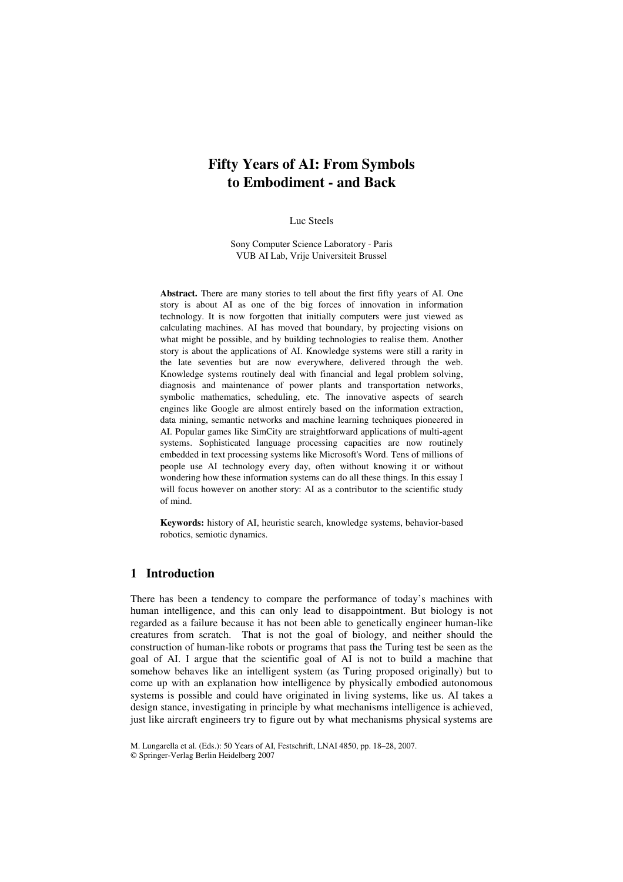# **Fifty Years of AI: From Symbols to Embodiment - and Back**

Luc Steels

Sony Computer Science Laboratory - Paris VUB AI Lab, Vrije Universiteit Brussel

**Abstract.** There are many stories to tell about the first fifty years of AI. One story is about AI as one of the big forces of innovation in information technology. It is now forgotten that initially computers were just viewed as calculating machines. AI has moved that boundary, by projecting visions on what might be possible, and by building technologies to realise them. Another story is about the applications of AI. Knowledge systems were still a rarity in the late seventies but are now everywhere, delivered through the web. Knowledge systems routinely deal with financial and legal problem solving, diagnosis and maintenance of power plants and transportation networks, symbolic mathematics, scheduling, etc. The innovative aspects of search engines like Google are almost entirely based on the information extraction, data mining, semantic networks and machine learning techniques pioneered in AI. Popular games like SimCity are straightforward applications of multi-agent systems. Sophisticated language processing capacities are now routinely embedded in text processing systems like Microsoft's Word. Tens of millions of people use AI technology every day, often without knowing it or without wondering how these information systems can do all these things. In this essay I will focus however on another story: AI as a contributor to the scientific study of mind.

**Keywords:** history of AI, heuristic search, knowledge systems, behavior-based robotics, semiotic dynamics.

# **1 Introduction**

There has been a tendency to compare the performance of today's machines with human intelligence, and this can only lead to disappointment. But biology is not regarded as a failure because it has not been able to genetically engineer human-like creatures from scratch. That is not the goal of biology, and neither should the construction of human-like robots or programs that pass the Turing test be seen as the goal of AI. I argue that the scientific goal of AI is not to build a machine that somehow behaves like an intelligent system (as Turing proposed originally) but to come up with an explanation how intelligence by physically embodied autonomous systems is possible and could have originated in living systems, like us. AI takes a design stance, investigating in principle by what mechanisms intelligence is achieved, just like aircraft engineers try to figure out by what mechanisms physical systems are

M. Lungarella et al. (Eds.): 50 Years of AI, Festschrift, LNAI 4850, pp. 18–28, 2007.

<sup>©</sup> Springer-Verlag Berlin Heidelberg 2007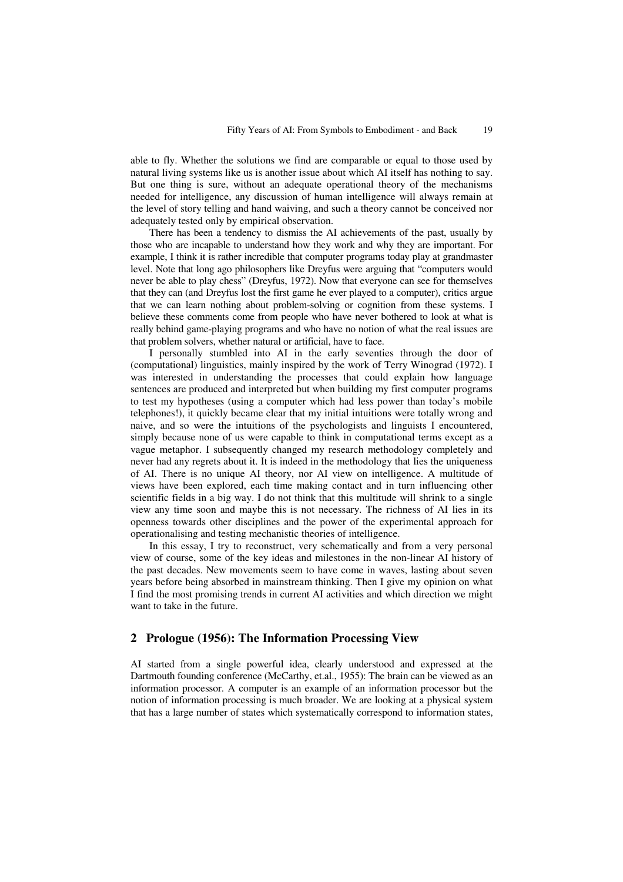able to fly. Whether the solutions we find are comparable or equal to those used by natural living systems like us is another issue about which AI itself has nothing to say. But one thing is sure, without an adequate operational theory of the mechanisms needed for intelligence, any discussion of human intelligence will always remain at the level of story telling and hand waiving, and such a theory cannot be conceived nor adequately tested only by empirical observation.

There has been a tendency to dismiss the AI achievements of the past, usually by those who are incapable to understand how they work and why they are important. For example, I think it is rather incredible that computer programs today play at grandmaster level. Note that long ago philosophers like Dreyfus were arguing that "computers would never be able to play chess" (Dreyfus, 1972). Now that everyone can see for themselves that they can (and Dreyfus lost the first game he ever played to a computer), critics argue that we can learn nothing about problem-solving or cognition from these systems. I believe these comments come from people who have never bothered to look at what is really behind game-playing programs and who have no notion of what the real issues are that problem solvers, whether natural or artificial, have to face.

I personally stumbled into AI in the early seventies through the door of (computational) linguistics, mainly inspired by the work of Terry Winograd (1972). I was interested in understanding the processes that could explain how language sentences are produced and interpreted but when building my first computer programs to test my hypotheses (using a computer which had less power than today's mobile telephones!), it quickly became clear that my initial intuitions were totally wrong and naive, and so were the intuitions of the psychologists and linguists I encountered, simply because none of us were capable to think in computational terms except as a vague metaphor. I subsequently changed my research methodology completely and never had any regrets about it. It is indeed in the methodology that lies the uniqueness of AI. There is no unique AI theory, nor AI view on intelligence. A multitude of views have been explored, each time making contact and in turn influencing other scientific fields in a big way. I do not think that this multitude will shrink to a single view any time soon and maybe this is not necessary. The richness of AI lies in its openness towards other disciplines and the power of the experimental approach for operationalising and testing mechanistic theories of intelligence.

In this essay, I try to reconstruct, very schematically and from a very personal view of course, some of the key ideas and milestones in the non-linear AI history of the past decades. New movements seem to have come in waves, lasting about seven years before being absorbed in mainstream thinking. Then I give my opinion on what I find the most promising trends in current AI activities and which direction we might want to take in the future.

# **2 Prologue (1956): The Information Processing View**

AI started from a single powerful idea, clearly understood and expressed at the Dartmouth founding conference (McCarthy, et.al., 1955): The brain can be viewed as an information processor. A computer is an example of an information processor but the notion of information processing is much broader. We are looking at a physical system that has a large number of states which systematically correspond to information states,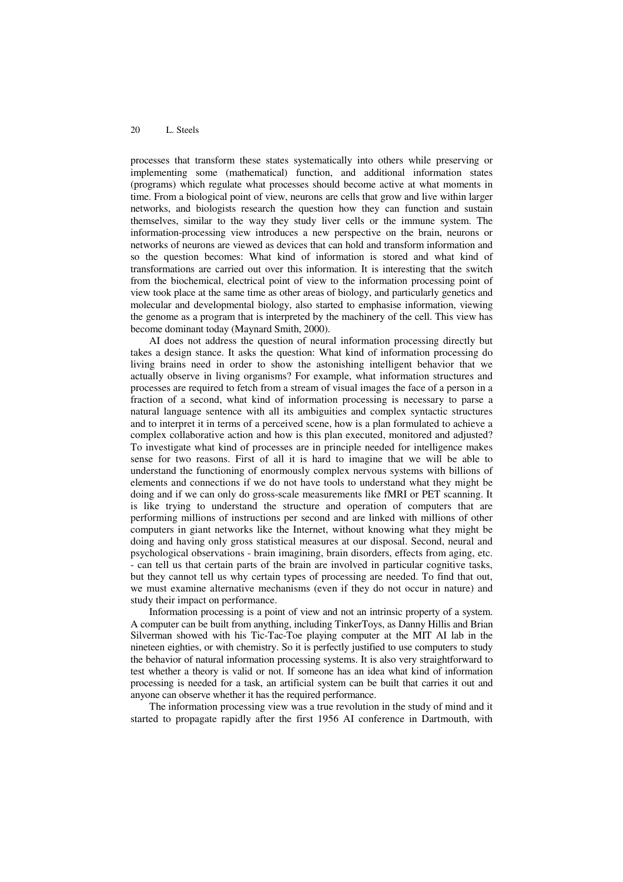processes that transform these states systematically into others while preserving or implementing some (mathematical) function, and additional information states (programs) which regulate what processes should become active at what moments in time. From a biological point of view, neurons are cells that grow and live within larger networks, and biologists research the question how they can function and sustain themselves, similar to the way they study liver cells or the immune system. The information-processing view introduces a new perspective on the brain, neurons or networks of neurons are viewed as devices that can hold and transform information and so the question becomes: What kind of information is stored and what kind of transformations are carried out over this information. It is interesting that the switch from the biochemical, electrical point of view to the information processing point of view took place at the same time as other areas of biology, and particularly genetics and molecular and developmental biology, also started to emphasise information, viewing the genome as a program that is interpreted by the machinery of the cell. This view has become dominant today (Maynard Smith, 2000).

AI does not address the question of neural information processing directly but takes a design stance. It asks the question: What kind of information processing do living brains need in order to show the astonishing intelligent behavior that we actually observe in living organisms? For example, what information structures and processes are required to fetch from a stream of visual images the face of a person in a fraction of a second, what kind of information processing is necessary to parse a natural language sentence with all its ambiguities and complex syntactic structures and to interpret it in terms of a perceived scene, how is a plan formulated to achieve a complex collaborative action and how is this plan executed, monitored and adjusted? To investigate what kind of processes are in principle needed for intelligence makes sense for two reasons. First of all it is hard to imagine that we will be able to understand the functioning of enormously complex nervous systems with billions of elements and connections if we do not have tools to understand what they might be doing and if we can only do gross-scale measurements like fMRI or PET scanning. It is like trying to understand the structure and operation of computers that are performing millions of instructions per second and are linked with millions of other computers in giant networks like the Internet, without knowing what they might be doing and having only gross statistical measures at our disposal. Second, neural and psychological observations - brain imagining, brain disorders, effects from aging, etc. - can tell us that certain parts of the brain are involved in particular cognitive tasks, but they cannot tell us why certain types of processing are needed. To find that out, we must examine alternative mechanisms (even if they do not occur in nature) and study their impact on performance.

Information processing is a point of view and not an intrinsic property of a system. A computer can be built from anything, including TinkerToys, as Danny Hillis and Brian Silverman showed with his Tic-Tac-Toe playing computer at the MIT AI lab in the nineteen eighties, or with chemistry. So it is perfectly justified to use computers to study the behavior of natural information processing systems. It is also very straightforward to test whether a theory is valid or not. If someone has an idea what kind of information processing is needed for a task, an artificial system can be built that carries it out and anyone can observe whether it has the required performance.

The information processing view was a true revolution in the study of mind and it started to propagate rapidly after the first 1956 AI conference in Dartmouth, with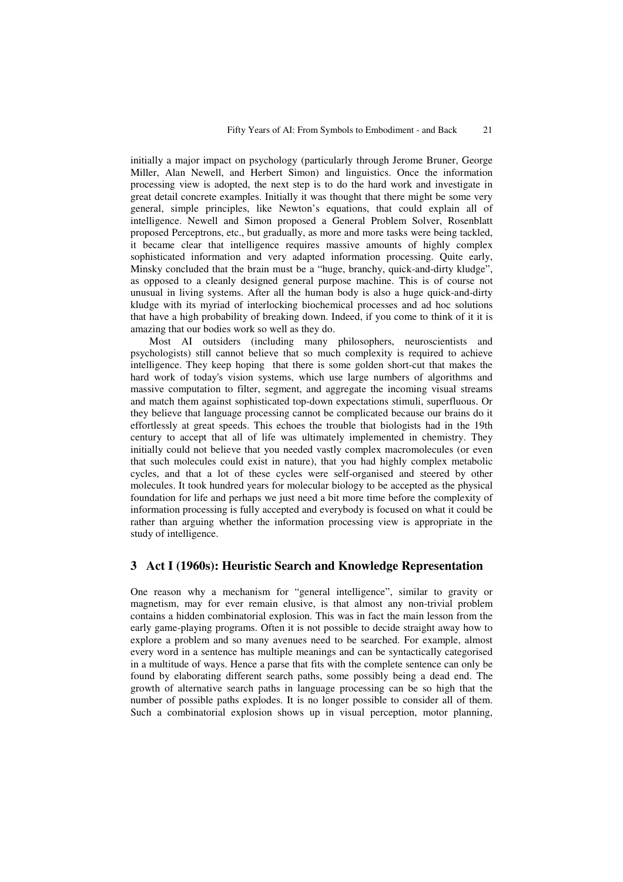initially a major impact on psychology (particularly through Jerome Bruner, George Miller, Alan Newell, and Herbert Simon) and linguistics. Once the information processing view is adopted, the next step is to do the hard work and investigate in great detail concrete examples. Initially it was thought that there might be some very general, simple principles, like Newton's equations, that could explain all of intelligence. Newell and Simon proposed a General Problem Solver, Rosenblatt proposed Perceptrons, etc., but gradually, as more and more tasks were being tackled, it became clear that intelligence requires massive amounts of highly complex sophisticated information and very adapted information processing. Quite early, Minsky concluded that the brain must be a "huge, branchy, quick-and-dirty kludge", as opposed to a cleanly designed general purpose machine. This is of course not unusual in living systems. After all the human body is also a huge quick-and-dirty kludge with its myriad of interlocking biochemical processes and ad hoc solutions that have a high probability of breaking down. Indeed, if you come to think of it it is amazing that our bodies work so well as they do.

Most AI outsiders (including many philosophers, neuroscientists and psychologists) still cannot believe that so much complexity is required to achieve intelligence. They keep hoping that there is some golden short-cut that makes the hard work of today's vision systems, which use large numbers of algorithms and massive computation to filter, segment, and aggregate the incoming visual streams and match them against sophisticated top-down expectations stimuli, superfluous. Or they believe that language processing cannot be complicated because our brains do it effortlessly at great speeds. This echoes the trouble that biologists had in the 19th century to accept that all of life was ultimately implemented in chemistry. They initially could not believe that you needed vastly complex macromolecules (or even that such molecules could exist in nature), that you had highly complex metabolic cycles, and that a lot of these cycles were self-organised and steered by other molecules. It took hundred years for molecular biology to be accepted as the physical foundation for life and perhaps we just need a bit more time before the complexity of information processing is fully accepted and everybody is focused on what it could be rather than arguing whether the information processing view is appropriate in the study of intelligence.

## **3 Act I (1960s): Heuristic Search and Knowledge Representation**

One reason why a mechanism for "general intelligence", similar to gravity or magnetism, may for ever remain elusive, is that almost any non-trivial problem contains a hidden combinatorial explosion. This was in fact the main lesson from the early game-playing programs. Often it is not possible to decide straight away how to explore a problem and so many avenues need to be searched. For example, almost every word in a sentence has multiple meanings and can be syntactically categorised in a multitude of ways. Hence a parse that fits with the complete sentence can only be found by elaborating different search paths, some possibly being a dead end. The growth of alternative search paths in language processing can be so high that the number of possible paths explodes. It is no longer possible to consider all of them. Such a combinatorial explosion shows up in visual perception, motor planning,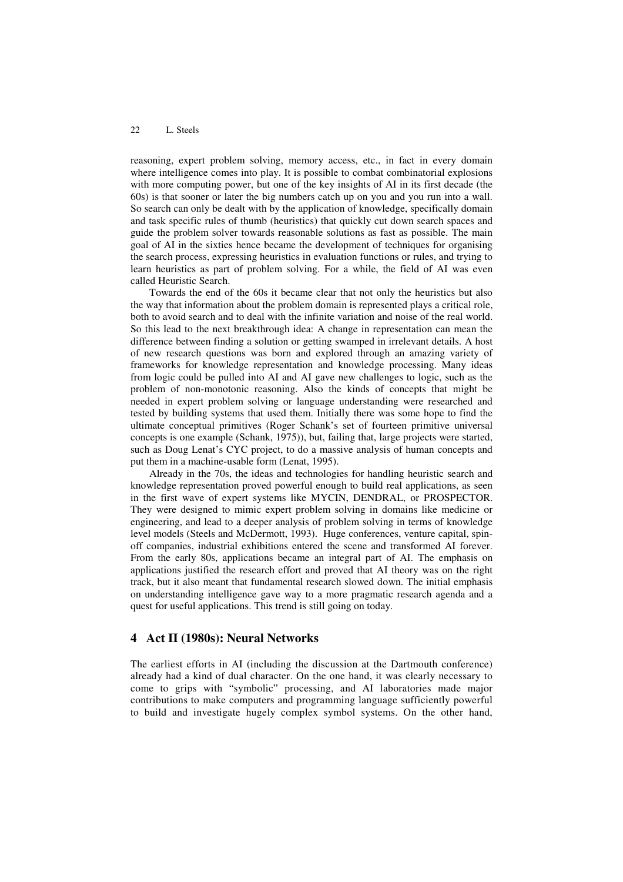reasoning, expert problem solving, memory access, etc., in fact in every domain where intelligence comes into play. It is possible to combat combinatorial explosions with more computing power, but one of the key insights of AI in its first decade (the 60s) is that sooner or later the big numbers catch up on you and you run into a wall. So search can only be dealt with by the application of knowledge, specifically domain and task specific rules of thumb (heuristics) that quickly cut down search spaces and guide the problem solver towards reasonable solutions as fast as possible. The main goal of AI in the sixties hence became the development of techniques for organising the search process, expressing heuristics in evaluation functions or rules, and trying to learn heuristics as part of problem solving. For a while, the field of AI was even called Heuristic Search.

Towards the end of the 60s it became clear that not only the heuristics but also the way that information about the problem domain is represented plays a critical role, both to avoid search and to deal with the infinite variation and noise of the real world. So this lead to the next breakthrough idea: A change in representation can mean the difference between finding a solution or getting swamped in irrelevant details. A host of new research questions was born and explored through an amazing variety of frameworks for knowledge representation and knowledge processing. Many ideas from logic could be pulled into AI and AI gave new challenges to logic, such as the problem of non-monotonic reasoning. Also the kinds of concepts that might be needed in expert problem solving or language understanding were researched and tested by building systems that used them. Initially there was some hope to find the ultimate conceptual primitives (Roger Schank's set of fourteen primitive universal concepts is one example (Schank, 1975)), but, failing that, large projects were started, such as Doug Lenat's CYC project, to do a massive analysis of human concepts and put them in a machine-usable form (Lenat, 1995).

Already in the 70s, the ideas and technologies for handling heuristic search and knowledge representation proved powerful enough to build real applications, as seen in the first wave of expert systems like MYCIN, DENDRAL, or PROSPECTOR. They were designed to mimic expert problem solving in domains like medicine or engineering, and lead to a deeper analysis of problem solving in terms of knowledge level models (Steels and McDermott, 1993). Huge conferences, venture capital, spinoff companies, industrial exhibitions entered the scene and transformed AI forever. From the early 80s, applications became an integral part of AI. The emphasis on applications justified the research effort and proved that AI theory was on the right track, but it also meant that fundamental research slowed down. The initial emphasis on understanding intelligence gave way to a more pragmatic research agenda and a quest for useful applications. This trend is still going on today.

## **4 Act II (1980s): Neural Networks**

The earliest efforts in AI (including the discussion at the Dartmouth conference) already had a kind of dual character. On the one hand, it was clearly necessary to come to grips with "symbolic" processing, and AI laboratories made major contributions to make computers and programming language sufficiently powerful to build and investigate hugely complex symbol systems. On the other hand,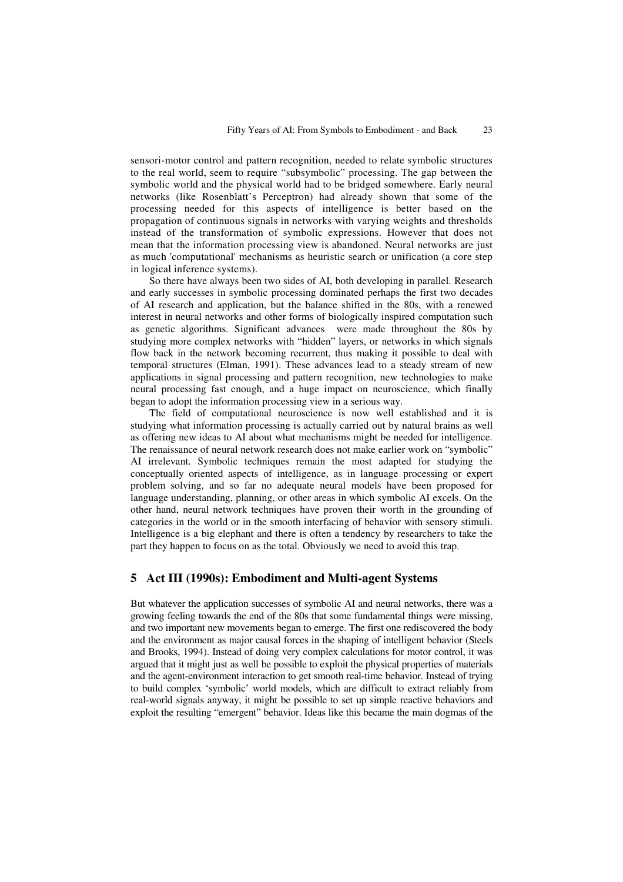sensori-motor control and pattern recognition, needed to relate symbolic structures to the real world, seem to require "subsymbolic" processing. The gap between the symbolic world and the physical world had to be bridged somewhere. Early neural networks (like Rosenblatt's Perceptron) had already shown that some of the processing needed for this aspects of intelligence is better based on the propagation of continuous signals in networks with varying weights and thresholds instead of the transformation of symbolic expressions. However that does not mean that the information processing view is abandoned. Neural networks are just as much 'computational' mechanisms as heuristic search or unification (a core step in logical inference systems).

So there have always been two sides of AI, both developing in parallel. Research and early successes in symbolic processing dominated perhaps the first two decades of AI research and application, but the balance shifted in the 80s, with a renewed interest in neural networks and other forms of biologically inspired computation such as genetic algorithms. Significant advances were made throughout the 80s by studying more complex networks with "hidden" layers, or networks in which signals flow back in the network becoming recurrent, thus making it possible to deal with temporal structures (Elman, 1991). These advances lead to a steady stream of new applications in signal processing and pattern recognition, new technologies to make neural processing fast enough, and a huge impact on neuroscience, which finally began to adopt the information processing view in a serious way.

The field of computational neuroscience is now well established and it is studying what information processing is actually carried out by natural brains as well as offering new ideas to AI about what mechanisms might be needed for intelligence. The renaissance of neural network research does not make earlier work on "symbolic" AI irrelevant. Symbolic techniques remain the most adapted for studying the conceptually oriented aspects of intelligence, as in language processing or expert problem solving, and so far no adequate neural models have been proposed for language understanding, planning, or other areas in which symbolic AI excels. On the other hand, neural network techniques have proven their worth in the grounding of categories in the world or in the smooth interfacing of behavior with sensory stimuli. Intelligence is a big elephant and there is often a tendency by researchers to take the part they happen to focus on as the total. Obviously we need to avoid this trap.

# **5 Act III (1990s): Embodiment and Multi-agent Systems**

But whatever the application successes of symbolic AI and neural networks, there was a growing feeling towards the end of the 80s that some fundamental things were missing, and two important new movements began to emerge. The first one rediscovered the body and the environment as major causal forces in the shaping of intelligent behavior (Steels and Brooks, 1994). Instead of doing very complex calculations for motor control, it was argued that it might just as well be possible to exploit the physical properties of materials and the agent-environment interaction to get smooth real-time behavior. Instead of trying to build complex 'symbolic' world models, which are difficult to extract reliably from real-world signals anyway, it might be possible to set up simple reactive behaviors and exploit the resulting "emergent" behavior. Ideas like this became the main dogmas of the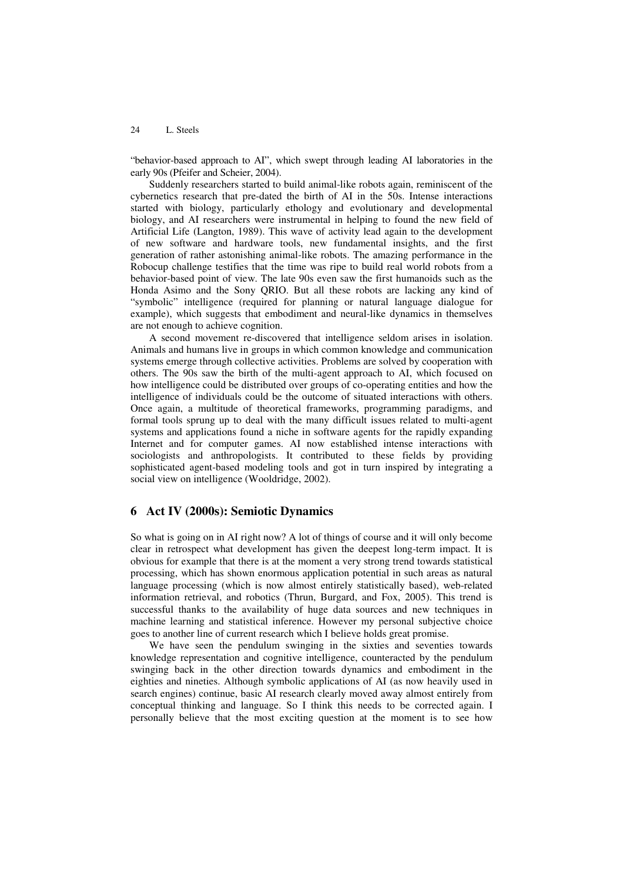"behavior-based approach to AI", which swept through leading AI laboratories in the early 90s (Pfeifer and Scheier, 2004).

Suddenly researchers started to build animal-like robots again, reminiscent of the cybernetics research that pre-dated the birth of AI in the 50s. Intense interactions started with biology, particularly ethology and evolutionary and developmental biology, and AI researchers were instrumental in helping to found the new field of Artificial Life (Langton, 1989). This wave of activity lead again to the development of new software and hardware tools, new fundamental insights, and the first generation of rather astonishing animal-like robots. The amazing performance in the Robocup challenge testifies that the time was ripe to build real world robots from a behavior-based point of view. The late 90s even saw the first humanoids such as the Honda Asimo and the Sony QRIO. But all these robots are lacking any kind of "symbolic" intelligence (required for planning or natural language dialogue for example), which suggests that embodiment and neural-like dynamics in themselves are not enough to achieve cognition.

A second movement re-discovered that intelligence seldom arises in isolation. Animals and humans live in groups in which common knowledge and communication systems emerge through collective activities. Problems are solved by cooperation with others. The 90s saw the birth of the multi-agent approach to AI, which focused on how intelligence could be distributed over groups of co-operating entities and how the intelligence of individuals could be the outcome of situated interactions with others. Once again, a multitude of theoretical frameworks, programming paradigms, and formal tools sprung up to deal with the many difficult issues related to multi-agent systems and applications found a niche in software agents for the rapidly expanding Internet and for computer games. AI now established intense interactions with sociologists and anthropologists. It contributed to these fields by providing sophisticated agent-based modeling tools and got in turn inspired by integrating a social view on intelligence (Wooldridge, 2002).

# **6 Act IV (2000s): Semiotic Dynamics**

So what is going on in AI right now? A lot of things of course and it will only become clear in retrospect what development has given the deepest long-term impact. It is obvious for example that there is at the moment a very strong trend towards statistical processing, which has shown enormous application potential in such areas as natural language processing (which is now almost entirely statistically based), web-related information retrieval, and robotics (Thrun, Burgard, and Fox, 2005). This trend is successful thanks to the availability of huge data sources and new techniques in machine learning and statistical inference. However my personal subjective choice goes to another line of current research which I believe holds great promise.

We have seen the pendulum swinging in the sixties and seventies towards knowledge representation and cognitive intelligence, counteracted by the pendulum swinging back in the other direction towards dynamics and embodiment in the eighties and nineties. Although symbolic applications of AI (as now heavily used in search engines) continue, basic AI research clearly moved away almost entirely from conceptual thinking and language. So I think this needs to be corrected again. I personally believe that the most exciting question at the moment is to see how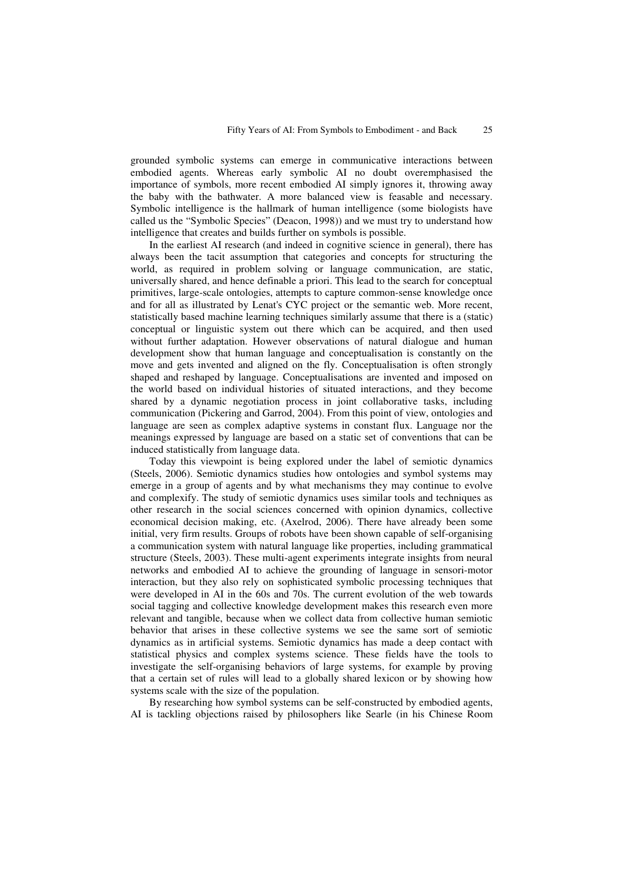grounded symbolic systems can emerge in communicative interactions between embodied agents. Whereas early symbolic AI no doubt overemphasised the importance of symbols, more recent embodied AI simply ignores it, throwing away the baby with the bathwater. A more balanced view is feasable and necessary. Symbolic intelligence is the hallmark of human intelligence (some biologists have called us the "Symbolic Species" (Deacon, 1998)) and we must try to understand how intelligence that creates and builds further on symbols is possible.

In the earliest AI research (and indeed in cognitive science in general), there has always been the tacit assumption that categories and concepts for structuring the world, as required in problem solving or language communication, are static, universally shared, and hence definable a priori. This lead to the search for conceptual primitives, large-scale ontologies, attempts to capture common-sense knowledge once and for all as illustrated by Lenat's CYC project or the semantic web. More recent, statistically based machine learning techniques similarly assume that there is a (static) conceptual or linguistic system out there which can be acquired, and then used without further adaptation. However observations of natural dialogue and human development show that human language and conceptualisation is constantly on the move and gets invented and aligned on the fly. Conceptualisation is often strongly shaped and reshaped by language. Conceptualisations are invented and imposed on the world based on individual histories of situated interactions, and they become shared by a dynamic negotiation process in joint collaborative tasks, including communication (Pickering and Garrod, 2004). From this point of view, ontologies and language are seen as complex adaptive systems in constant flux. Language nor the meanings expressed by language are based on a static set of conventions that can be induced statistically from language data.

Today this viewpoint is being explored under the label of semiotic dynamics (Steels, 2006). Semiotic dynamics studies how ontologies and symbol systems may emerge in a group of agents and by what mechanisms they may continue to evolve and complexify. The study of semiotic dynamics uses similar tools and techniques as other research in the social sciences concerned with opinion dynamics, collective economical decision making, etc. (Axelrod, 2006). There have already been some initial, very firm results. Groups of robots have been shown capable of self-organising a communication system with natural language like properties, including grammatical structure (Steels, 2003). These multi-agent experiments integrate insights from neural networks and embodied AI to achieve the grounding of language in sensori-motor interaction, but they also rely on sophisticated symbolic processing techniques that were developed in AI in the 60s and 70s. The current evolution of the web towards social tagging and collective knowledge development makes this research even more relevant and tangible, because when we collect data from collective human semiotic behavior that arises in these collective systems we see the same sort of semiotic dynamics as in artificial systems. Semiotic dynamics has made a deep contact with statistical physics and complex systems science. These fields have the tools to investigate the self-organising behaviors of large systems, for example by proving that a certain set of rules will lead to a globally shared lexicon or by showing how systems scale with the size of the population.

By researching how symbol systems can be self-constructed by embodied agents, AI is tackling objections raised by philosophers like Searle (in his Chinese Room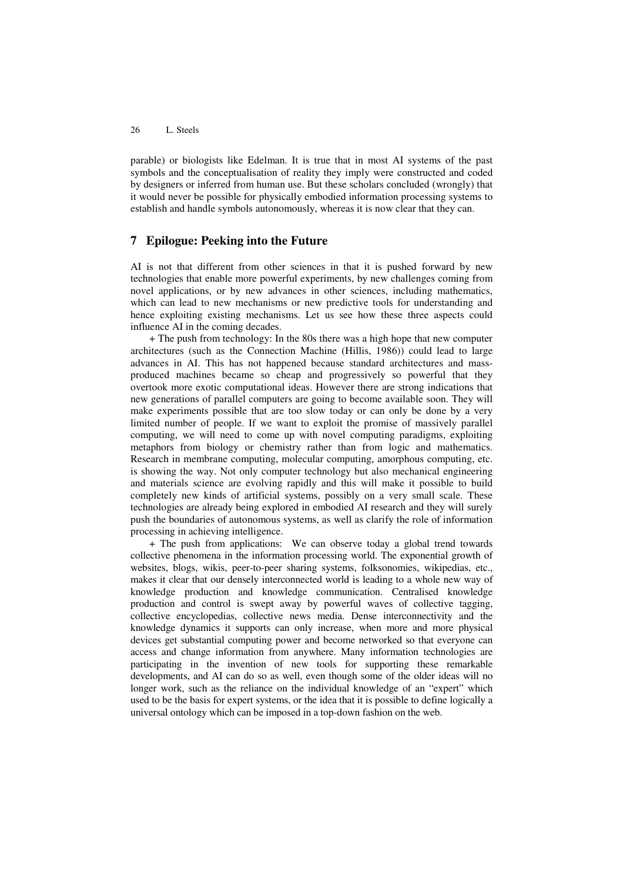parable) or biologists like Edelman. It is true that in most AI systems of the past symbols and the conceptualisation of reality they imply were constructed and coded by designers or inferred from human use. But these scholars concluded (wrongly) that it would never be possible for physically embodied information processing systems to establish and handle symbols autonomously, whereas it is now clear that they can.

## **7 Epilogue: Peeking into the Future**

AI is not that different from other sciences in that it is pushed forward by new technologies that enable more powerful experiments, by new challenges coming from novel applications, or by new advances in other sciences, including mathematics, which can lead to new mechanisms or new predictive tools for understanding and hence exploiting existing mechanisms. Let us see how these three aspects could influence AI in the coming decades.

+ The push from technology: In the 80s there was a high hope that new computer architectures (such as the Connection Machine (Hillis, 1986)) could lead to large advances in AI. This has not happened because standard architectures and massproduced machines became so cheap and progressively so powerful that they overtook more exotic computational ideas. However there are strong indications that new generations of parallel computers are going to become available soon. They will make experiments possible that are too slow today or can only be done by a very limited number of people. If we want to exploit the promise of massively parallel computing, we will need to come up with novel computing paradigms, exploiting metaphors from biology or chemistry rather than from logic and mathematics. Research in membrane computing, molecular computing, amorphous computing, etc. is showing the way. Not only computer technology but also mechanical engineering and materials science are evolving rapidly and this will make it possible to build completely new kinds of artificial systems, possibly on a very small scale. These technologies are already being explored in embodied AI research and they will surely push the boundaries of autonomous systems, as well as clarify the role of information processing in achieving intelligence.

+ The push from applications: We can observe today a global trend towards collective phenomena in the information processing world. The exponential growth of websites, blogs, wikis, peer-to-peer sharing systems, folksonomies, wikipedias, etc., makes it clear that our densely interconnected world is leading to a whole new way of knowledge production and knowledge communication. Centralised knowledge production and control is swept away by powerful waves of collective tagging, collective encyclopedias, collective news media. Dense interconnectivity and the knowledge dynamics it supports can only increase, when more and more physical devices get substantial computing power and become networked so that everyone can access and change information from anywhere. Many information technologies are participating in the invention of new tools for supporting these remarkable developments, and AI can do so as well, even though some of the older ideas will no longer work, such as the reliance on the individual knowledge of an "expert" which used to be the basis for expert systems, or the idea that it is possible to define logically a universal ontology which can be imposed in a top-down fashion on the web.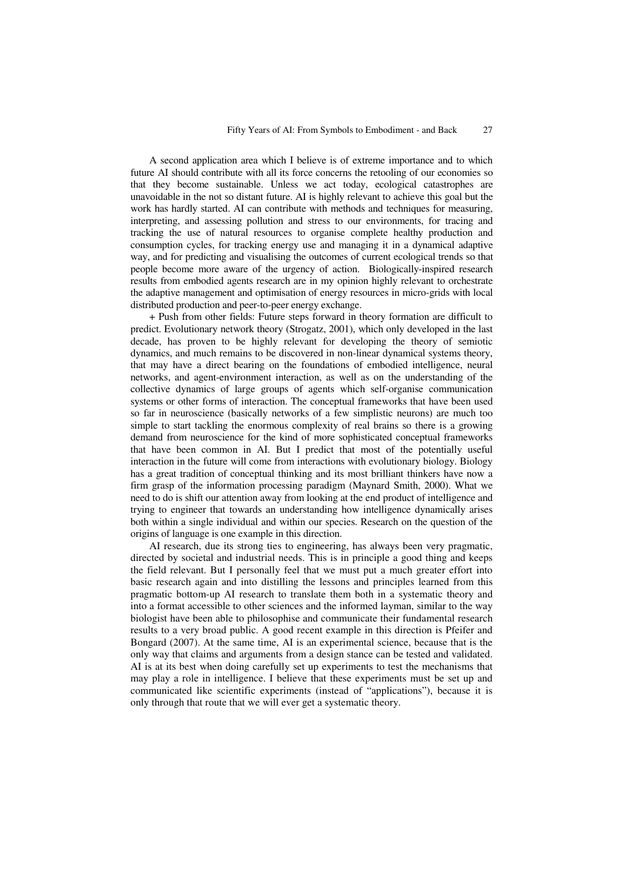A second application area which I believe is of extreme importance and to which future AI should contribute with all its force concerns the retooling of our economies so that they become sustainable. Unless we act today, ecological catastrophes are unavoidable in the not so distant future. AI is highly relevant to achieve this goal but the work has hardly started. AI can contribute with methods and techniques for measuring, interpreting, and assessing pollution and stress to our environments, for tracing and tracking the use of natural resources to organise complete healthy production and consumption cycles, for tracking energy use and managing it in a dynamical adaptive way, and for predicting and visualising the outcomes of current ecological trends so that people become more aware of the urgency of action. Biologically-inspired research results from embodied agents research are in my opinion highly relevant to orchestrate the adaptive management and optimisation of energy resources in micro-grids with local distributed production and peer-to-peer energy exchange.

+ Push from other fields: Future steps forward in theory formation are difficult to predict. Evolutionary network theory (Strogatz, 2001), which only developed in the last decade, has proven to be highly relevant for developing the theory of semiotic dynamics, and much remains to be discovered in non-linear dynamical systems theory, that may have a direct bearing on the foundations of embodied intelligence, neural networks, and agent-environment interaction, as well as on the understanding of the collective dynamics of large groups of agents which self-organise communication systems or other forms of interaction. The conceptual frameworks that have been used so far in neuroscience (basically networks of a few simplistic neurons) are much too simple to start tackling the enormous complexity of real brains so there is a growing demand from neuroscience for the kind of more sophisticated conceptual frameworks that have been common in AI. But I predict that most of the potentially useful interaction in the future will come from interactions with evolutionary biology. Biology has a great tradition of conceptual thinking and its most brilliant thinkers have now a firm grasp of the information processing paradigm (Maynard Smith, 2000). What we need to do is shift our attention away from looking at the end product of intelligence and trying to engineer that towards an understanding how intelligence dynamically arises both within a single individual and within our species. Research on the question of the origins of language is one example in this direction.

AI research, due its strong ties to engineering, has always been very pragmatic, directed by societal and industrial needs. This is in principle a good thing and keeps the field relevant. But I personally feel that we must put a much greater effort into basic research again and into distilling the lessons and principles learned from this pragmatic bottom-up AI research to translate them both in a systematic theory and into a format accessible to other sciences and the informed layman, similar to the way biologist have been able to philosophise and communicate their fundamental research results to a very broad public. A good recent example in this direction is Pfeifer and Bongard (2007). At the same time, AI is an experimental science, because that is the only way that claims and arguments from a design stance can be tested and validated. AI is at its best when doing carefully set up experiments to test the mechanisms that may play a role in intelligence. I believe that these experiments must be set up and communicated like scientific experiments (instead of "applications"), because it is only through that route that we will ever get a systematic theory.